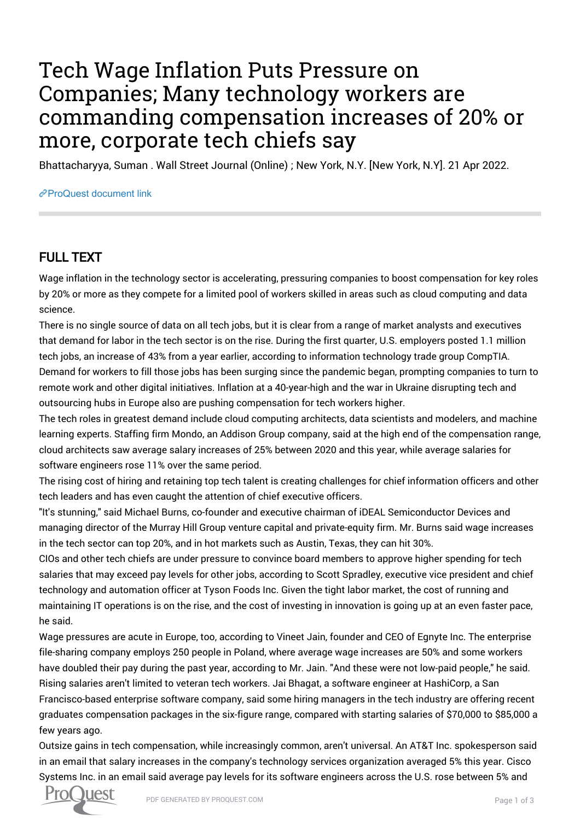## Tech Wage Inflation Puts Pressure on Companies; Many technology workers are commanding compensation increases of 20% or more, corporate tech chiefs say

Bhattacharyya, Suman . Wall Street Journal (Online) ; New York, N.Y. [New York, N.Y]. 21 Apr 2022.

## [ProQuest document link](https://www.proquest.com/newspapers/tech-wage-inflation-puts-pressure-on-companies/docview/2652803343/se-2?accountid=44910)

## FULL TEXT

Wage inflation in the technology sector is accelerating, pressuring companies to boost compensation for key roles by 20% or more as they compete for a limited pool of workers skilled in areas such as cloud computing and data science.

There is no single source of data on all tech jobs, but it is clear from a range of market analysts and executives that demand for labor in the tech sector is on the rise. During the first quarter, U.S. employers posted 1.1 million tech jobs, an increase of 43% from a year earlier, according to information technology trade group CompTIA. Demand for workers to fill those jobs has been surging since the pandemic began, prompting companies to turn to remote work and other digital initiatives. Inflation at a 40-year-high and the war in Ukraine disrupting tech and outsourcing hubs in Europe also are pushing compensation for tech workers higher.

The tech roles in greatest demand include cloud computing architects, data scientists and modelers, and machine learning experts. Staffing firm Mondo, an Addison Group company, said at the high end of the compensation range, cloud architects saw average salary increases of 25% between 2020 and this year, while average salaries for software engineers rose 11% over the same period.

The rising cost of hiring and retaining top tech talent is creating challenges for chief information officers and other tech leaders and has even caught the attention of chief executive officers.

"It's stunning," said Michael Burns, co-founder and executive chairman of iDEAL Semiconductor Devices and managing director of the Murray Hill Group venture capital and private-equity firm. Mr. Burns said wage increases in the tech sector can top 20%, and in hot markets such as Austin, Texas, they can hit 30%.

CIOs and other tech chiefs are under pressure to convince board members to approve higher spending for tech salaries that may exceed pay levels for other jobs, according to Scott Spradley, executive vice president and chief technology and automation officer at Tyson Foods Inc. Given the tight labor market, the cost of running and maintaining IT operations is on the rise, and the cost of investing in innovation is going up at an even faster pace, he said.

Wage pressures are acute in Europe, too, according to Vineet Jain, founder and CEO of Egnyte Inc. The enterprise file-sharing company employs 250 people in Poland, where average wage increases are 50% and some workers have doubled their pay during the past year, according to Mr. Jain. "And these were not low-paid people," he said. Rising salaries aren't limited to veteran tech workers. Jai Bhagat, a software engineer at HashiCorp, a San Francisco-based enterprise software company, said some hiring managers in the tech industry are offering recent graduates compensation packages in the six-figure range, compared with starting salaries of \$70,000 to \$85,000 a few years ago.

Outsize gains in tech compensation, while increasingly common, aren't universal. An AT&T Inc. spokesperson said in an email that salary increases in the company's technology services organization averaged 5% this year. Cisco Systems Inc. in an email said average pay levels for its software engineers across the U.S. rose between 5% and

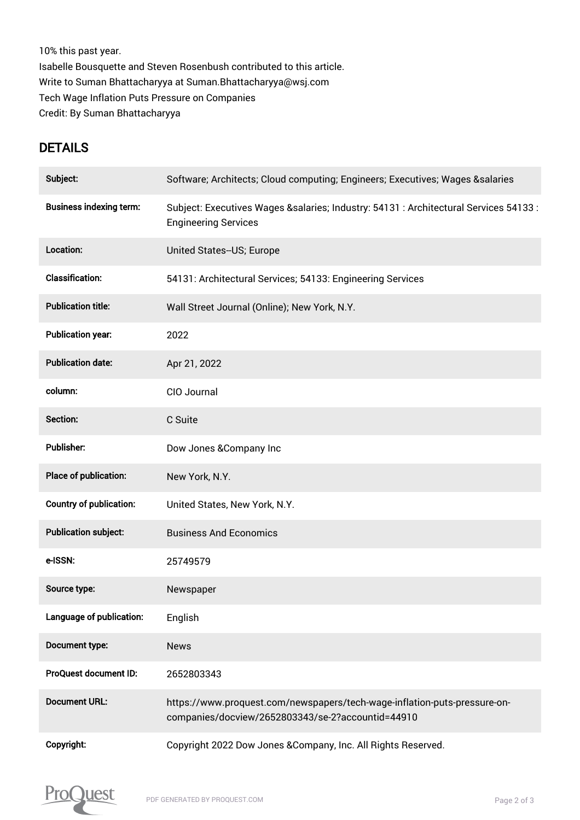10% this past year. Isabelle Bousquette and Steven Rosenbush contributed to this article. Write to Suman Bhattacharyya at Suman.Bhattacharyya@wsj.com Tech Wage Inflation Puts Pressure on Companies Credit: By Suman Bhattacharyya

## **DETAILS**

| Subject:                       | Software; Architects; Cloud computing; Engineers; Executives; Wages &salaries                                                  |
|--------------------------------|--------------------------------------------------------------------------------------------------------------------------------|
| <b>Business indexing term:</b> | Subject: Executives Wages &salaries Industry: 54131 : Architectural Services 54133 :<br><b>Engineering Services</b>            |
| Location:                      | United States--US; Europe                                                                                                      |
| <b>Classification:</b>         | 54131: Architectural Services; 54133: Engineering Services                                                                     |
| <b>Publication title:</b>      | Wall Street Journal (Online); New York, N.Y.                                                                                   |
| <b>Publication year:</b>       | 2022                                                                                                                           |
| <b>Publication date:</b>       | Apr 21, 2022                                                                                                                   |
| column:                        | CIO Journal                                                                                                                    |
| Section:                       | C Suite                                                                                                                        |
| <b>Publisher:</b>              | Dow Jones & Company Inc                                                                                                        |
| Place of publication:          | New York, N.Y.                                                                                                                 |
| <b>Country of publication:</b> | United States, New York, N.Y.                                                                                                  |
| <b>Publication subject:</b>    | <b>Business And Economics</b>                                                                                                  |
| e-ISSN:                        | 25749579                                                                                                                       |
| Source type:                   | Newspaper                                                                                                                      |
| Language of publication:       | English                                                                                                                        |
| Document type:                 | <b>News</b>                                                                                                                    |
| ProQuest document ID:          | 2652803343                                                                                                                     |
| <b>Document URL:</b>           | https://www.proquest.com/newspapers/tech-wage-inflation-puts-pressure-on-<br>companies/docview/2652803343/se-2?accountid=44910 |
| Copyright:                     | Copyright 2022 Dow Jones & Company, Inc. All Rights Reserved.                                                                  |